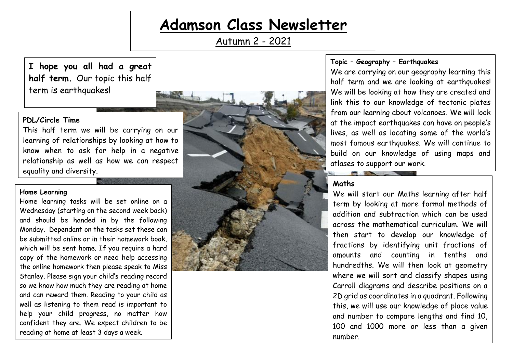# **Adamson Class Newsletter**

Autumn 2 - 2021

**I hope you all had a great half term.** Our topic this half term is earthquakes!

# **PDL/Circle Time**

This half term we will be carrying on our learning of relationships by looking at how to know when to ask for help in a negative relationship as well as how we can respect equality and diversity.

#### **Home Learning**

Home learning tasks will be set online on a Wednesday (starting on the second week back) and should be handed in by the following Monday. Dependant on the tasks set these can be submitted online or in their homework book, which will be sent home. If you require a hard copy of the homework or need help accessing the online homework then please speak to Miss Stanley. Please sign your child's reading record so we know how much they are reading at home and can reward them. Reading to your child as well as listening to them read is important to help your child progress, no matter how confident they are. We expect children to be reading at home at least 3 days a week.



#### **Topic – Geography – Earthquakes**

We are carrying on our geography learning this half term and we are looking at earthquakes! We will be looking at how they are created and link this to our knowledge of tectonic plates from our learning about volcanoes. We will look at the impact earthquakes can have on people's lives, as well as locating some of the world's most famous earthquakes. We will continue to build on our knowledge of using maps and atlases to support our work.

### **Maths**

We will start our Maths learning after half term by looking at more formal methods of addition and subtraction which can be used across the mathematical curriculum. We will then start to develop our knowledge of fractions by identifying unit fractions of amounts and counting in tenths and hundredths. We will then look at geometry where we will sort and classify shapes using Carroll diagrams and describe positions on a 2D grid as coordinates in a quadrant. Following this, we will use our knowledge of place value and number to compare lengths and find 10, 100 and 1000 more or less than a given number.